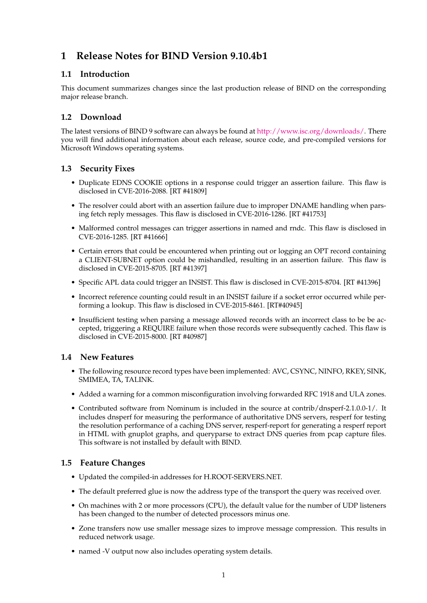# **1 Release Notes for BIND Version 9.10.4b1**

## **1.1 Introduction**

This document summarizes changes since the last production release of BIND on the corresponding major release branch.

# **1.2 Download**

The latest versions of BIND 9 software can always be found at [http://www.isc.org/downloads/.](http://www.isc.org/downloads/) There you will find additional information about each release, source code, and pre-compiled versions for Microsoft Windows operating systems.

#### **1.3 Security Fixes**

- Duplicate EDNS COOKIE options in a response could trigger an assertion failure. This flaw is disclosed in CVE-2016-2088. [RT #41809]
- The resolver could abort with an assertion failure due to improper DNAME handling when parsing fetch reply messages. This flaw is disclosed in CVE-2016-1286. [RT #41753]
- Malformed control messages can trigger assertions in named and rndc. This flaw is disclosed in CVE-2016-1285. [RT #41666]
- Certain errors that could be encountered when printing out or logging an OPT record containing a CLIENT-SUBNET option could be mishandled, resulting in an assertion failure. This flaw is disclosed in CVE-2015-8705. [RT #41397]
- Specific APL data could trigger an INSIST. This flaw is disclosed in CVE-2015-8704. [RT #41396]
- Incorrect reference counting could result in an INSIST failure if a socket error occurred while performing a lookup. This flaw is disclosed in CVE-2015-8461. [RT#40945]
- Insufficient testing when parsing a message allowed records with an incorrect class to be be accepted, triggering a REQUIRE failure when those records were subsequently cached. This flaw is disclosed in CVE-2015-8000. [RT #40987]

## **1.4 New Features**

- The following resource record types have been implemented: AVC, CSYNC, NINFO, RKEY, SINK, SMIMEA, TA, TALINK.
- Added a warning for a common misconfiguration involving forwarded RFC 1918 and ULA zones.
- Contributed software from Nominum is included in the source at contrib/dnsperf-2.1.0.0-1/. It includes dnsperf for measuring the performance of authoritative DNS servers, resperf for testing the resolution performance of a caching DNS server, resperf-report for generating a resperf report in HTML with gnuplot graphs, and queryparse to extract DNS queries from pcap capture files. This software is not installed by default with BIND.

## **1.5 Feature Changes**

- Updated the compiled-in addresses for H.ROOT-SERVERS.NET.
- The default preferred glue is now the address type of the transport the query was received over.
- On machines with 2 or more processors (CPU), the default value for the number of UDP listeners has been changed to the number of detected processors minus one.
- Zone transfers now use smaller message sizes to improve message compression. This results in reduced network usage.
- named -V output now also includes operating system details.